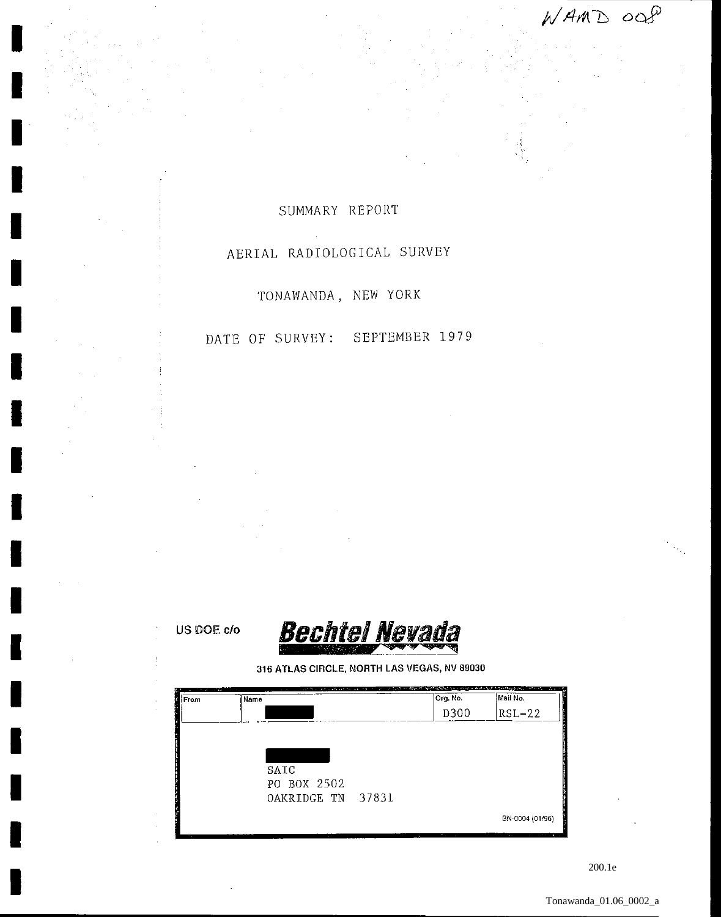WAMD ංශ

## SUMMARY REPORT

## AERIAL RADIOLOGICAL SURVEY

TONAWANDA, NEW YORK

## DATE OF SURVEY: SEPTEMBER 1979

US DOE c/o



316 ATLAS CIRCLE, NORTH LAS VEGAS, NV 89030

| <b>STATISTICS</b><br>From | Name        | 的复数人名英格兰人姓氏法 化电子反应 网络卡尔 医眼镜 化甲酸酯 医神经细胞性的 医无线性 网络大陆野大陆野大陆 医眼镜 医心包 人名英格兰人姓氏 | Org. No.   | Mail No.                                |
|---------------------------|-------------|---------------------------------------------------------------------------|------------|-----------------------------------------|
|                           |             |                                                                           | D300       | $RSL-22$                                |
|                           |             |                                                                           |            |                                         |
|                           |             |                                                                           |            |                                         |
|                           |             |                                                                           |            |                                         |
|                           | SAIC        |                                                                           |            |                                         |
|                           | PO BOX 2502 |                                                                           |            |                                         |
|                           | OAKRIDGE TN | 37831                                                                     |            |                                         |
|                           |             |                                                                           |            | BN-0004 (01/96)                         |
| 19.99                     | . .         | $\sim$                                                                    | The County | and a firm that an<br><b>COLLECTION</b> |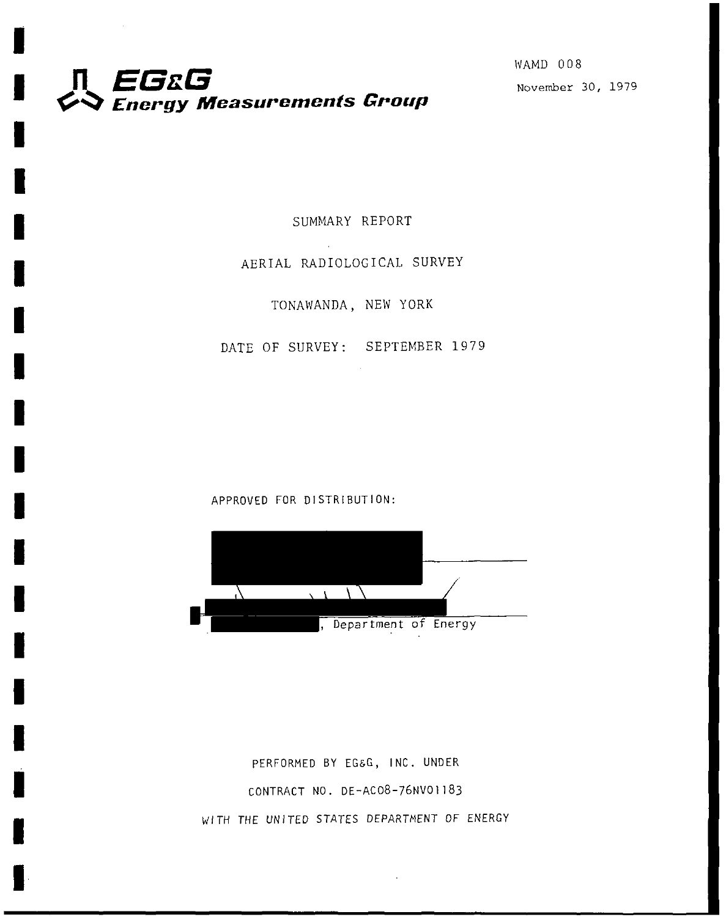

I

I

I

I

I

I

I

I

I

I

I

I

I

I

I

I

I

WAMD 008

SUMMARY REPORT

## AERIAL RADIOLOGICAL SURVEY

TONAWANDA, NEW YORK

DATE OF SURVEY: SEPTEMBER 1979

APPROVED FOR DISTRIBUTION:



PERFORMED BY EG&G, INC. UNDER CONTRACT NO. DE-AC08-76NVOJJ83 WITH THE UNITED STATES DEPARTMENT OF ENERGY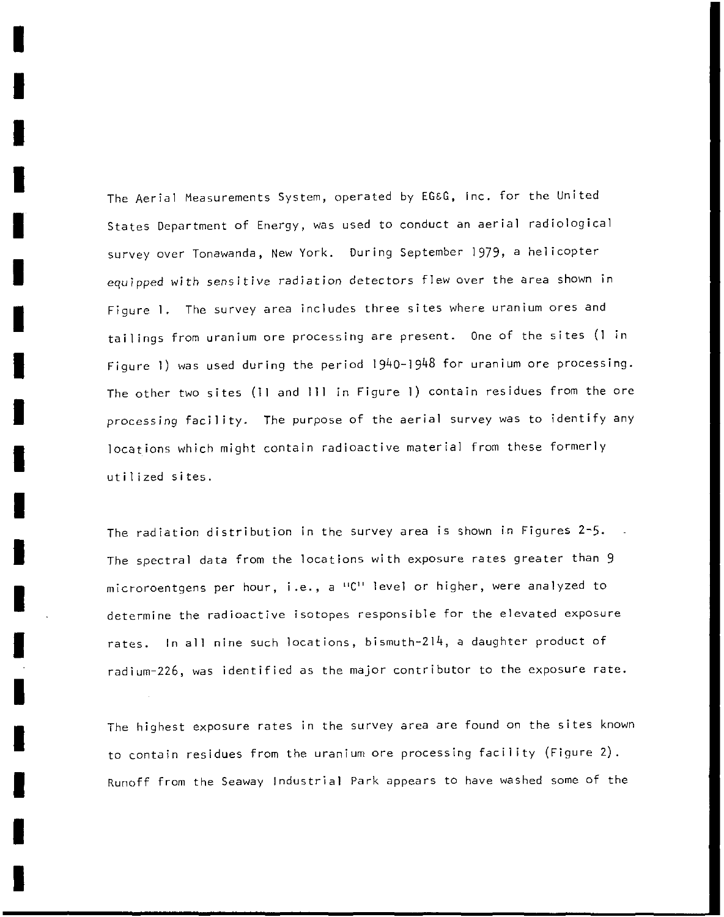The Aerial Measurements System, operated by EG&G, Inc. for the United States Department of Energy, was used to conduct an aerial radiological survey over Tonawanda, New York. During September 1979, a helicopter equipped with sensitive radiation detectors flew over the area shown in Figure **1.** The survey area includes three sites where uranium ores and tailings from uranium ore processing are present. One of the sites (1 in Figure **1)** was used during the period 1940-1948 for uranium ore processing. The other two sites (11 and **111** in Figure **1)** contain residues from the ore processing facility. The purpose of the aerial survey was to identify any locations which might contain radioactive material from these formerly utilized sites.

I

I

I

I

I

I

I

I

I

I

I

I

I

I

I

I

I

I

I

The radiation distribution in the survey area is shown in Figures 2-5. The spectral data from the locations with exposure rates greater than 9 **microroentgens per hour, i.e., a 11C11 level or higher, were analyzed to**  determine the radioactive isotopes responsible for the elevated exposure rates. In **all** nine such locations, bismuth-214, a daughter product of radium-226, was identified as the major contributor to the exposure rate.

The highest exposure rates in the survey area are found on the sites known to contain residues from the uranium ore processing facility (Figure 2). Runoff from the Seaway Industrial Park appears to have washed some of the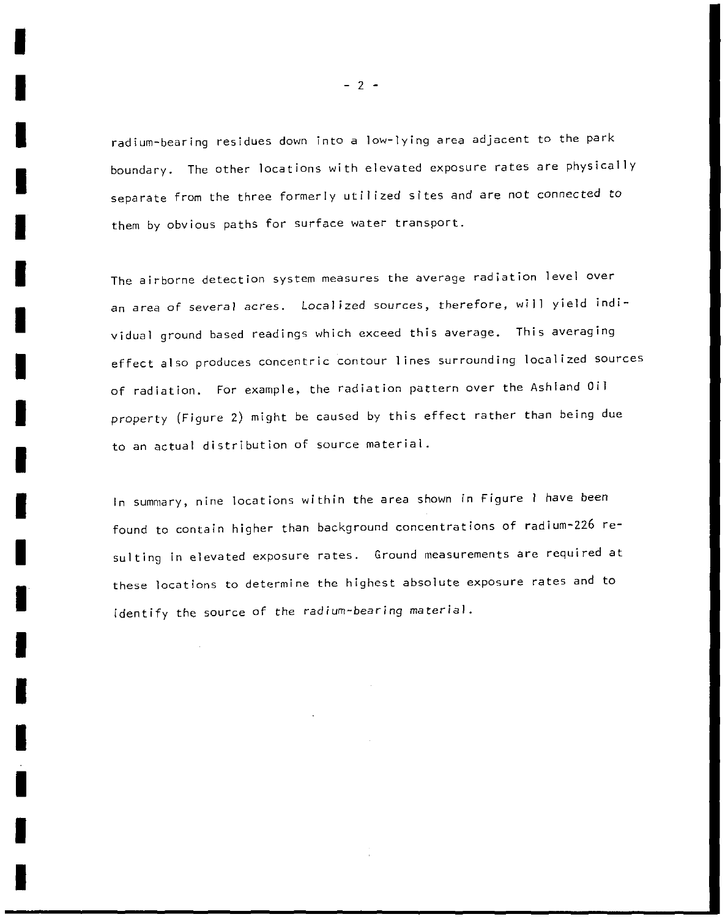radium-bearing residues down into a low-lying area adjacent to the park boundary. The other locations with elevated exposure rates are physically separate from the three formerly utilized sites and are not connected to them by obvious paths for surface water transport.

**The airborne detection system measures the average radiation level over**  an area of several acres. Localized sources, therefore, will yield individual ground based readings which exceed this average. This averaging effect also produces concentric contour 1 ines surrounding localized sources of radiation. For example, the radiation pattern over the Ashland Oil property (Figure 2) might be caused by this effect rather than being due to an actual distribution of source material.

In summary, nine locations within the area shown in Figure I have been found to contain higher than background concentrations of radium-226 resulting in elevated exposure rates. Ground measurements are required at these locations to determine the highest absolute exposure rates and to identify the source of the radium-bearing material.

 $- 2 -$ 

I

I

I

I

I

I

I

I

I

I

I

I

I

I

I

I

I

I

I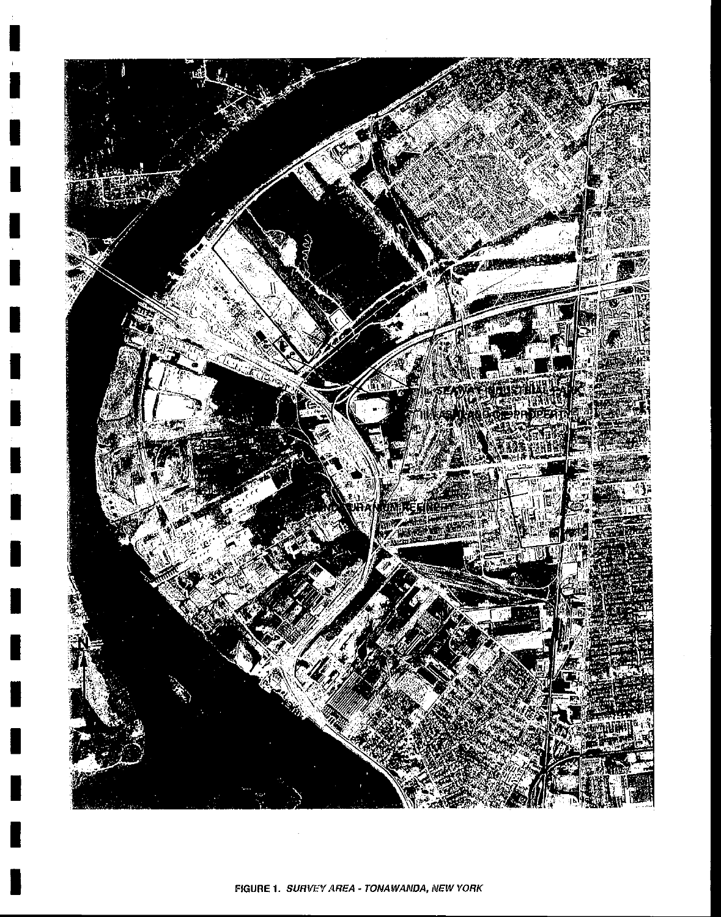

Ц

I

H

I

I

Π

H

H

F

Į.